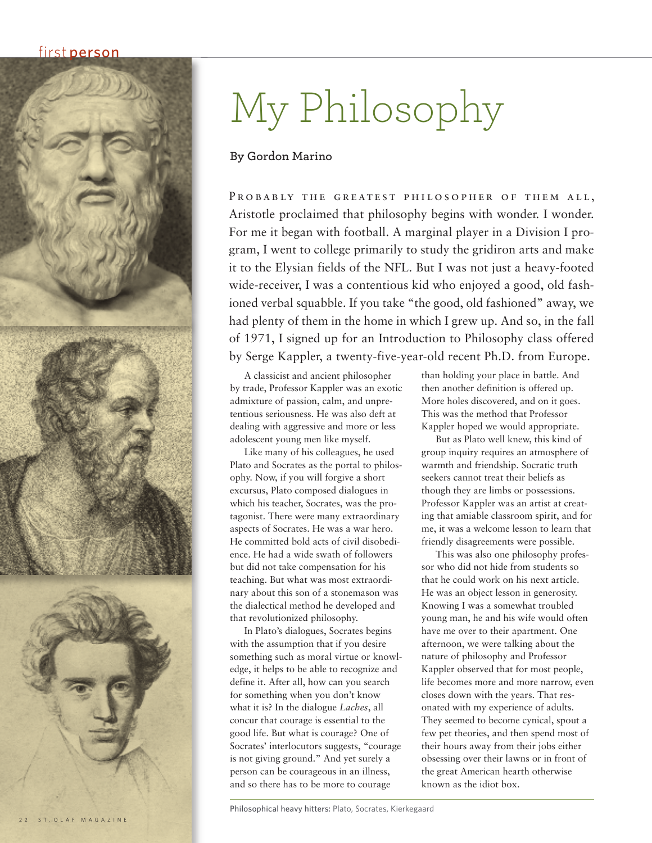## first person



## My Philosophy

## **By Gordon Marino**

PROBABLY THE GREATEST PHILOSOPHER OF THEM ALL. Aristotle proclaimed that philosophy begins with wonder. I wonder. For me it began with football. A marginal player in a Division I program, I went to college primarily to study the gridiron arts and make it to the Elysian fields of the NFL. But I was not just a heavy-footed wide-receiver, I was a contentious kid who enjoyed a good, old fashioned verbal squabble. If you take "the good, old fashioned" away, we had plenty of them in the home in which I grew up. And so, in the fall of 1971, I signed up for an Introduction to Philosophy class offered by Serge Kappler, a twenty-five-year-old recent Ph.D. from Europe.

A classicist and ancient philosopher by trade, Professor Kappler was an exotic admixture of passion, calm, and unpretentious seriousness. He was also deft at dealing with aggressive and more or less adolescent young men like myself.

Like many of his colleagues, he used Plato and Socrates as the portal to philosophy. Now, if you will forgive a short excursus, Plato composed dialogues in which his teacher, Socrates, was the protagonist. There were many extraordinary aspects of Socrates. He was a war hero. He committed bold acts of civil disobedience. He had a wide swath of followers but did not take compensation for his teaching. But what was most extraordinary about this son of a stonemason was the dialectical method he developed and that revolutionized philosophy.

In Plato's dialogues, Socrates begins with the assumption that if you desire something such as moral virtue or knowledge, it helps to be able to recognize and define it. After all, how can you search for something when you don't know what it is? In the dialogue *Laches*, all concur that courage is essential to the good life. But what is courage? One of Socrates' interlocutors suggests, "courage is not giving ground." And yet surely a person can be courageous in an illness, and so there has to be more to courage

than holding your place in battle. And then another definition is offered up. More holes discovered, and on it goes. This was the method that Professor Kappler hoped we would appropriate.

But as Plato well knew, this kind of group inquiry requires an atmosphere of warmth and friendship. Socratic truth seekers cannot treat their beliefs as though they are limbs or possessions. Professor Kappler was an artist at creating that amiable classroom spirit, and for me, it was a welcome lesson to learn that friendly disagreements were possible.

This was also one philosophy professor who did not hide from students so that he could work on his next article. He was an object lesson in generosity. Knowing I was a somewhat troubled young man, he and his wife would often have me over to their apartment. One afternoon, we were talking about the nature of philosophy and Professor Kappler observed that for most people, life becomes more and more narrow, even closes down with the years. That resonated with my experience of adults. They seemed to become cynical, spout a few pet theories, and then spend most of their hours away from their jobs either obsessing over their lawns or in front of the great American hearth otherwise known as the idiot box.